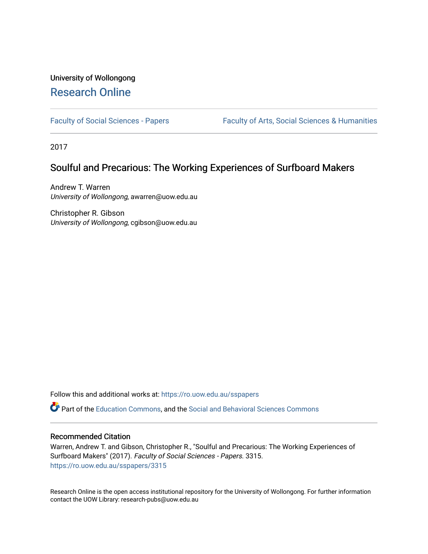# University of Wollongong [Research Online](https://ro.uow.edu.au/)

[Faculty of Social Sciences - Papers](https://ro.uow.edu.au/sspapers) Faculty of Arts, Social Sciences & Humanities

2017

## Soulful and Precarious: The Working Experiences of Surfboard Makers

Andrew T. Warren University of Wollongong, awarren@uow.edu.au

Christopher R. Gibson University of Wollongong, cgibson@uow.edu.au

Follow this and additional works at: [https://ro.uow.edu.au/sspapers](https://ro.uow.edu.au/sspapers?utm_source=ro.uow.edu.au%2Fsspapers%2F3315&utm_medium=PDF&utm_campaign=PDFCoverPages) 

Part of the [Education Commons](http://network.bepress.com/hgg/discipline/784?utm_source=ro.uow.edu.au%2Fsspapers%2F3315&utm_medium=PDF&utm_campaign=PDFCoverPages), and the [Social and Behavioral Sciences Commons](http://network.bepress.com/hgg/discipline/316?utm_source=ro.uow.edu.au%2Fsspapers%2F3315&utm_medium=PDF&utm_campaign=PDFCoverPages) 

#### Recommended Citation

Warren, Andrew T. and Gibson, Christopher R., "Soulful and Precarious: The Working Experiences of Surfboard Makers" (2017). Faculty of Social Sciences - Papers. 3315. [https://ro.uow.edu.au/sspapers/3315](https://ro.uow.edu.au/sspapers/3315?utm_source=ro.uow.edu.au%2Fsspapers%2F3315&utm_medium=PDF&utm_campaign=PDFCoverPages)

Research Online is the open access institutional repository for the University of Wollongong. For further information contact the UOW Library: research-pubs@uow.edu.au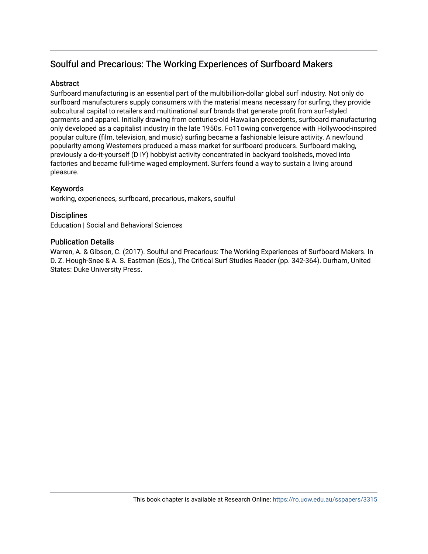## Soulful and Precarious: The Working Experiences of Surfboard Makers

### **Abstract**

Surfboard manufacturing is an essential part of the multibillion-dollar global surf industry. Not only do surfboard manufacturers supply consumers with the material means necessary for surfing, they provide subcultural capital to retailers and multinational surf brands that generate profit from surf-styled garments and apparel. Initially drawing from centuries-old Hawaiian precedents, surfboard manufacturing only developed as a capitalist industry in the late 1950s. Fo11owing convergence with Hollywood-inspired popular culture (film, television, and music) surfing became a fashionable leisure activity. A newfound popularity among Westerners produced a mass market for surfboard producers. Surfboard making, previously a do-it-yourself (D IY) hobbyist activity concentrated in backyard toolsheds, moved into factories and became full-time waged employment. Surfers found a way to sustain a living around pleasure.

## Keywords

working, experiences, surfboard, precarious, makers, soulful

## **Disciplines**

Education | Social and Behavioral Sciences

### Publication Details

Warren, A. & Gibson, C. (2017). Soulful and Precarious: The Working Experiences of Surfboard Makers. In D. Z. Hough-Snee & A. S. Eastman (Eds.), The Critical Surf Studies Reader (pp. 342-364). Durham, United States: Duke University Press.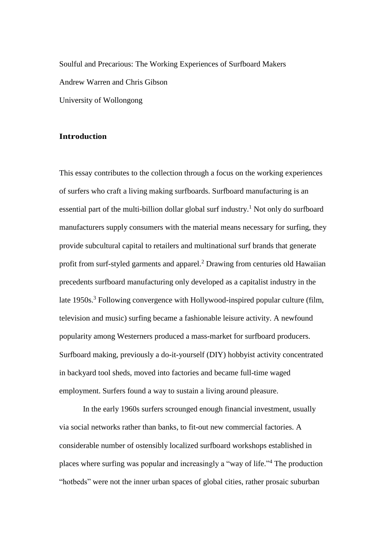Soulful and Precarious: The Working Experiences of Surfboard Makers Andrew Warren and Chris Gibson University of Wollongong

#### **Introduction**

This essay contributes to the collection through a focus on the working experiences of surfers who craft a living making surfboards. Surfboard manufacturing is an essential part of the multi-billion dollar global surf industry. <sup>1</sup> Not only do surfboard manufacturers supply consumers with the material means necessary for surfing, they provide subcultural capital to retailers and multinational surf brands that generate profit from surf-styled garments and apparel.<sup>2</sup> Drawing from centuries old Hawaiian precedents surfboard manufacturing only developed as a capitalist industry in the late 1950s.<sup>3</sup> Following convergence with Hollywood-inspired popular culture (film, television and music) surfing became a fashionable leisure activity. A newfound popularity among Westerners produced a mass-market for surfboard producers. Surfboard making, previously a do-it-yourself (DIY) hobbyist activity concentrated in backyard tool sheds, moved into factories and became full-time waged employment. Surfers found a way to sustain a living around pleasure.

In the early 1960s surfers scrounged enough financial investment, usually via social networks rather than banks, to fit-out new commercial factories. A considerable number of ostensibly localized surfboard workshops established in places where surfing was popular and increasingly a "way of life." <sup>4</sup> The production "hotbeds" were not the inner urban spaces of global cities, rather prosaic suburban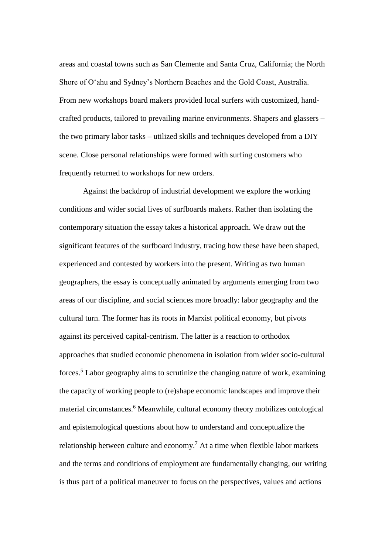areas and coastal towns such as San Clemente and Santa Cruz, California; the North Shore of O'ahu and Sydney's Northern Beaches and the Gold Coast, Australia. From new workshops board makers provided local surfers with customized, handcrafted products, tailored to prevailing marine environments. Shapers and glassers – the two primary labor tasks – utilized skills and techniques developed from a DIY scene. Close personal relationships were formed with surfing customers who frequently returned to workshops for new orders.

Against the backdrop of industrial development we explore the working conditions and wider social lives of surfboards makers. Rather than isolating the contemporary situation the essay takes a historical approach. We draw out the significant features of the surfboard industry, tracing how these have been shaped, experienced and contested by workers into the present. Writing as two human geographers, the essay is conceptually animated by arguments emerging from two areas of our discipline, and social sciences more broadly: labor geography and the cultural turn. The former has its roots in Marxist political economy, but pivots against its perceived capital-centrism. The latter is a reaction to orthodox approaches that studied economic phenomena in isolation from wider socio-cultural forces.<sup>5</sup> Labor geography aims to scrutinize the changing nature of work, examining the capacity of working people to (re)shape economic landscapes and improve their material circumstances.<sup>6</sup> Meanwhile, cultural economy theory mobilizes ontological and epistemological questions about how to understand and conceptualize the relationship between culture and economy. <sup>7</sup> At a time when flexible labor markets and the terms and conditions of employment are fundamentally changing, our writing is thus part of a political maneuver to focus on the perspectives, values and actions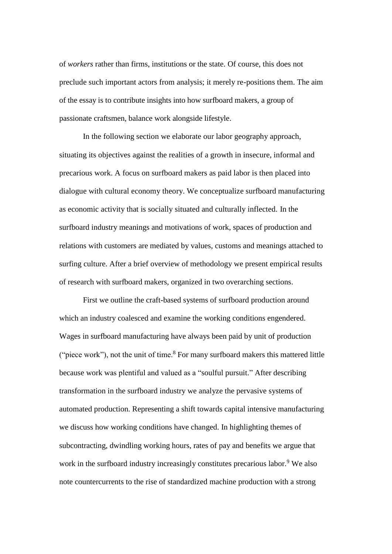of *workers* rather than firms, institutions or the state. Of course, this does not preclude such important actors from analysis; it merely re-positions them. The aim of the essay is to contribute insights into how surfboard makers, a group of passionate craftsmen, balance work alongside lifestyle.

In the following section we elaborate our labor geography approach, situating its objectives against the realities of a growth in insecure, informal and precarious work. A focus on surfboard makers as paid labor is then placed into dialogue with cultural economy theory. We conceptualize surfboard manufacturing as economic activity that is socially situated and culturally inflected. In the surfboard industry meanings and motivations of work, spaces of production and relations with customers are mediated by values, customs and meanings attached to surfing culture. After a brief overview of methodology we present empirical results of research with surfboard makers, organized in two overarching sections.

First we outline the craft-based systems of surfboard production around which an industry coalesced and examine the working conditions engendered. Wages in surfboard manufacturing have always been paid by unit of production ("piece work"), not the unit of time.<sup>8</sup> For many surfboard makers this mattered little because work was plentiful and valued as a "soulful pursuit." After describing transformation in the surfboard industry we analyze the pervasive systems of automated production. Representing a shift towards capital intensive manufacturing we discuss how working conditions have changed. In highlighting themes of subcontracting, dwindling working hours, rates of pay and benefits we argue that work in the surfboard industry increasingly constitutes precarious labor.<sup>9</sup> We also note countercurrents to the rise of standardized machine production with a strong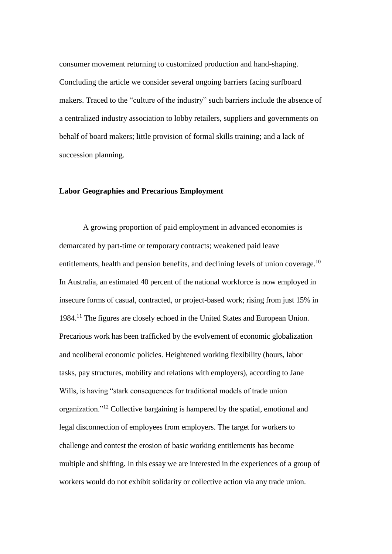consumer movement returning to customized production and hand-shaping. Concluding the article we consider several ongoing barriers facing surfboard makers. Traced to the "culture of the industry" such barriers include the absence of a centralized industry association to lobby retailers, suppliers and governments on behalf of board makers; little provision of formal skills training; and a lack of succession planning.

#### **Labor Geographies and Precarious Employment**

A growing proportion of paid employment in advanced economies is demarcated by part-time or temporary contracts; weakened paid leave entitlements, health and pension benefits, and declining levels of union coverage.<sup>10</sup> In Australia, an estimated 40 percent of the national workforce is now employed in insecure forms of casual, contracted, or project-based work; rising from just 15% in 1984.<sup>11</sup> The figures are closely echoed in the United States and European Union. Precarious work has been trafficked by the evolvement of economic globalization and neoliberal economic policies. Heightened working flexibility (hours, labor tasks, pay structures, mobility and relations with employers), according to Jane Wills, is having "stark consequences for traditional models of trade union organization."<sup>12</sup> Collective bargaining is hampered by the spatial, emotional and legal disconnection of employees from employers. The target for workers to challenge and contest the erosion of basic working entitlements has become multiple and shifting. In this essay we are interested in the experiences of a group of workers would do not exhibit solidarity or collective action via any trade union.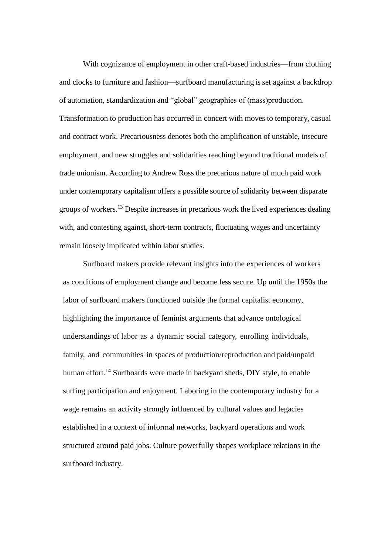With cognizance of employment in other craft-based industries—from clothing and clocks to furniture and fashion—surfboard manufacturing is set against a backdrop of automation, standardization and "global" geographies of (mass)production. Transformation to production has occurred in concert with moves to temporary, casual and contract work. Precariousness denotes both the amplification of unstable, insecure employment, and new struggles and solidarities reaching beyond traditional models of trade unionism. According to Andrew Ross the precarious nature of much paid work under contemporary capitalism offers a possible source of solidarity between disparate groups of workers.<sup>13</sup> Despite increases in precarious work the lived experiences dealing with, and contesting against, short-term contracts, fluctuating wages and uncertainty remain loosely implicated within labor studies.

Surfboard makers provide relevant insights into the experiences of workers as conditions of employment change and become less secure. Up until the 1950s the labor of surfboard makers functioned outside the formal capitalist economy, highlighting the importance of feminist arguments that advance ontological understandings of labor as a dynamic social category, enrolling individuals, family, and communities in spaces of production/reproduction and paid/unpaid human effort.<sup>14</sup> Surfboards were made in backyard sheds, DIY style, to enable surfing participation and enjoyment. Laboring in the contemporary industry for a wage remains an activity strongly influenced by cultural values and legacies established in a context of informal networks, backyard operations and work structured around paid jobs. Culture powerfully shapes workplace relations in the surfboard industry.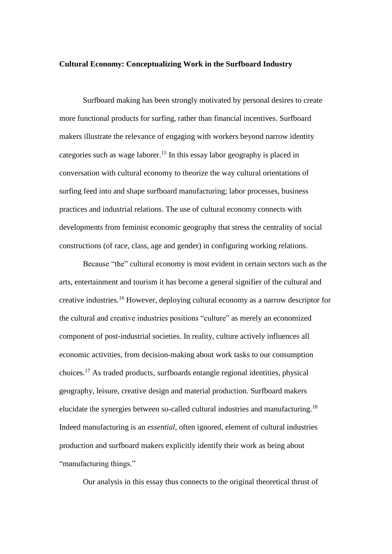#### **Cultural Economy: Conceptualizing Work in the Surfboard Industry**

Surfboard making has been strongly motivated by personal desires to create more functional products for surfing, rather than financial incentives. Surfboard makers illustrate the relevance of engaging with workers beyond narrow identity categories such as wage laborer.<sup>15</sup> In this essay labor geography is placed in conversation with cultural economy to theorize the way cultural orientations of surfing feed into and shape surfboard manufacturing; labor processes, business practices and industrial relations. The use of cultural economy connects with developments from feminist economic geography that stress the centrality of social constructions (of race, class, age and gender) in configuring working relations.

Because "the" cultural economy is most evident in certain sectors such as the arts, entertainment and tourism it has become a general signifier of the cultural and creative industries.<sup>16</sup> However, deploying cultural economy as a narrow descriptor for the cultural and creative industries positions "culture" as merely an economized component of post-industrial societies. In reality, culture actively influences all economic activities, from decision-making about work tasks to our consumption choices.<sup>17</sup> As traded products, surfboards entangle regional identities, physical geography, leisure, creative design and material production. Surfboard makers elucidate the synergies between so-called cultural industries and manufacturing.<sup>18</sup> Indeed manufacturing is an *essential*, often ignored, element of cultural industries production and surfboard makers explicitly identify their work as being about "manufacturing things."

Our analysis in this essay thus connects to the original theoretical thrust of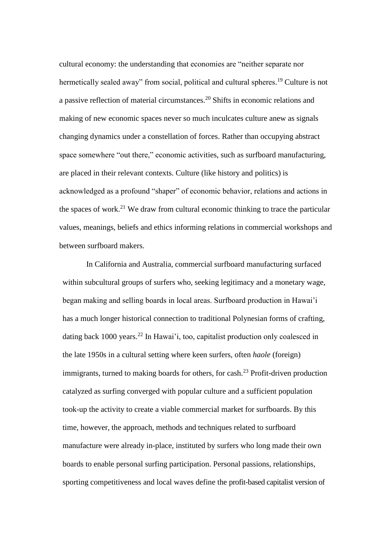cultural economy: the understanding that economies are "neither separate nor hermetically sealed away" from social, political and cultural spheres.<sup>19</sup> Culture is not a passive reflection of material circumstances. <sup>20</sup> Shifts in economic relations and making of new economic spaces never so much inculcates culture anew as signals changing dynamics under a constellation of forces. Rather than occupying abstract space somewhere "out there," economic activities, such as surfboard manufacturing, are placed in their relevant contexts. Culture (like history and politics) is acknowledged as a profound "shaper" of economic behavior, relations and actions in the spaces of work.<sup>21</sup> We draw from cultural economic thinking to trace the particular values, meanings, beliefs and ethics informing relations in commercial workshops and between surfboard makers.

In California and Australia, commercial surfboard manufacturing surfaced within subcultural groups of surfers who, seeking legitimacy and a monetary wage, began making and selling boards in local areas. Surfboard production in Hawai'i has a much longer historical connection to traditional Polynesian forms of crafting, dating back 1000 years.<sup>22</sup> In Hawai'i, too, capitalist production only coalesced in the late 1950s in a cultural setting where keen surfers, often *haole* (foreign) immigrants, turned to making boards for others, for cash.<sup>23</sup> Profit-driven production catalyzed as surfing converged with popular culture and a sufficient population took-up the activity to create a viable commercial market for surfboards. By this time, however, the approach, methods and techniques related to surfboard manufacture were already in-place, instituted by surfers who long made their own boards to enable personal surfing participation. Personal passions, relationships, sporting competitiveness and local waves define the profit-based capitalist version of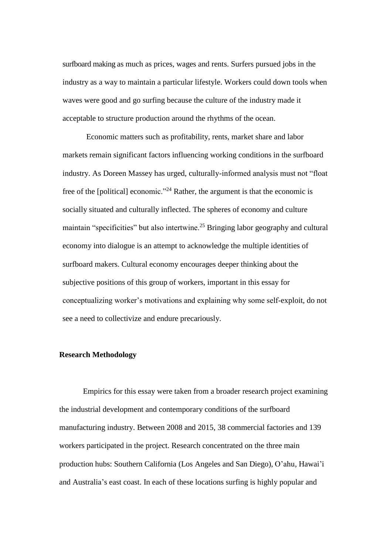surfboard making as much as prices, wages and rents. Surfers pursued jobs in the industry as a way to maintain a particular lifestyle. Workers could down tools when waves were good and go surfing because the culture of the industry made it acceptable to structure production around the rhythms of the ocean.

Economic matters such as profitability, rents, market share and labor markets remain significant factors influencing working conditions in the surfboard industry. As Doreen Massey has urged, culturally-informed analysis must not "float free of the [political] economic."<sup>24</sup> Rather, the argument is that the economic is socially situated and culturally inflected. The spheres of economy and culture maintain "specificities" but also intertwine.<sup>25</sup> Bringing labor geography and cultural economy into dialogue is an attempt to acknowledge the multiple identities of surfboard makers. Cultural economy encourages deeper thinking about the subjective positions of this group of workers, important in this essay for conceptualizing worker's motivations and explaining why some self-exploit, do not see a need to collectivize and endure precariously.

#### **Research Methodology**

Empirics for this essay were taken from a broader research project examining the industrial development and contemporary conditions of the surfboard manufacturing industry. Between 2008 and 2015, 38 commercial factories and 139 workers participated in the project. Research concentrated on the three main production hubs: Southern California (Los Angeles and San Diego), O'ahu, Hawai'i and Australia's east coast. In each of these locations surfing is highly popular and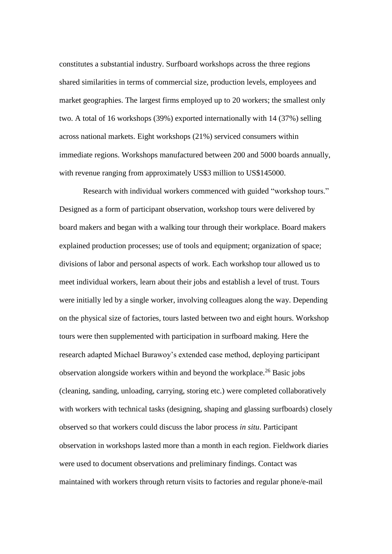constitutes a substantial industry. Surfboard workshops across the three regions shared similarities in terms of commercial size, production levels, employees and market geographies. The largest firms employed up to 20 workers; the smallest only two. A total of 16 workshops (39%) exported internationally with 14 (37%) selling across national markets. Eight workshops (21%) serviced consumers within immediate regions. Workshops manufactured between 200 and 5000 boards annually, with revenue ranging from approximately US\$3 million to US\$145000.

Research with individual workers commenced with guided "workshop tours." Designed as a form of participant observation, workshop tours were delivered by board makers and began with a walking tour through their workplace. Board makers explained production processes; use of tools and equipment; organization of space; divisions of labor and personal aspects of work. Each workshop tour allowed us to meet individual workers, learn about their jobs and establish a level of trust. Tours were initially led by a single worker, involving colleagues along the way. Depending on the physical size of factories, tours lasted between two and eight hours. Workshop tours were then supplemented with participation in surfboard making. Here the research adapted Michael Burawoy's extended case method, deploying participant observation alongside workers within and beyond the workplace.<sup>26</sup> Basic jobs (cleaning, sanding, unloading, carrying, storing etc.) were completed collaboratively with workers with technical tasks (designing, shaping and glassing surfboards) closely observed so that workers could discuss the labor process *in situ*. Participant observation in workshops lasted more than a month in each region. Fieldwork diaries were used to document observations and preliminary findings. Contact was maintained with workers through return visits to factories and regular phone/e-mail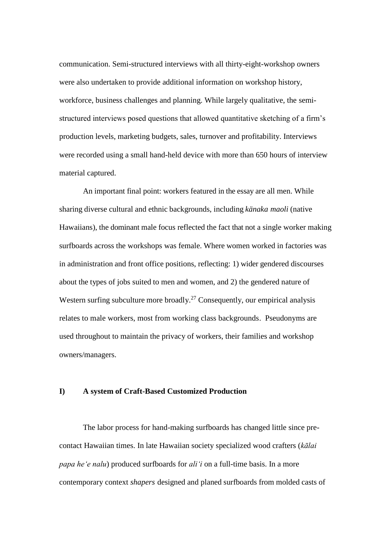communication. Semi-structured interviews with all thirty-eight-workshop owners were also undertaken to provide additional information on workshop history, workforce, business challenges and planning. While largely qualitative, the semistructured interviews posed questions that allowed quantitative sketching of a firm's production levels, marketing budgets, sales, turnover and profitability. Interviews were recorded using a small hand-held device with more than 650 hours of interview material captured.

An important final point: workers featured in the essay are all men. While sharing diverse cultural and ethnic backgrounds, including *känaka maoli* (native Hawaiians), the dominant male focus reflected the fact that not a single worker making surfboards across the workshops was female. Where women worked in factories was in administration and front office positions, reflecting: 1) wider gendered discourses about the types of jobs suited to men and women, and 2) the gendered nature of Western surfing subculture more broadly.<sup>27</sup> Consequently, our empirical analysis relates to male workers, most from working class backgrounds. Pseudonyms are used throughout to maintain the privacy of workers, their families and workshop owners/managers.

#### **I) A system of Craft-Based Customized Production**

The labor process for hand-making surfboards has changed little since precontact Hawaiian times. In late Hawaiian society specialized wood crafters (*kālai papa he'e nalu*) produced surfboards for *ali'i* on a full-time basis. In a more contemporary context *shapers* designed and planed surfboards from molded casts of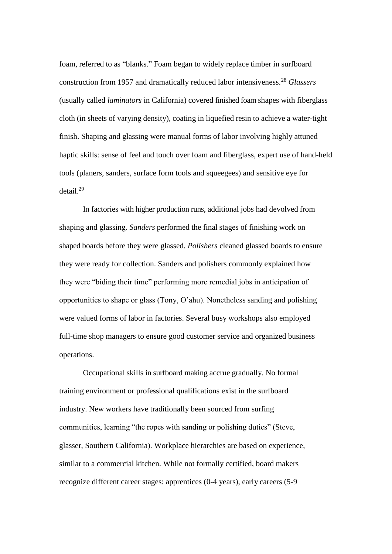foam, referred to as "blanks." Foam began to widely replace timber in surfboard construction from 1957 and dramatically reduced labor intensiveness.<sup>28</sup> *Glassers* (usually called *laminators* in California) covered finished foam shapes with fiberglass cloth (in sheets of varying density), coating in liquefied resin to achieve a water-tight finish. Shaping and glassing were manual forms of labor involving highly attuned haptic skills: sense of feel and touch over foam and fiberglass, expert use of hand-held tools (planers, sanders, surface form tools and squeegees) and sensitive eye for detail.<sup>29</sup>

In factories with higher production runs, additional jobs had devolved from shaping and glassing. *Sanders* performed the final stages of finishing work on shaped boards before they were glassed. *Polishers* cleaned glassed boards to ensure they were ready for collection. Sanders and polishers commonly explained how they were "biding their time" performing more remedial jobs in anticipation of opportunities to shape or glass (Tony, O'ahu). Nonetheless sanding and polishing were valued forms of labor in factories. Several busy workshops also employed full-time shop managers to ensure good customer service and organized business operations.

Occupational skills in surfboard making accrue gradually. No formal training environment or professional qualifications exist in the surfboard industry. New workers have traditionally been sourced from surfing communities, learning "the ropes with sanding or polishing duties" (Steve, glasser, Southern California). Workplace hierarchies are based on experience, similar to a commercial kitchen. While not formally certified, board makers recognize different career stages: apprentices (0-4 years), early careers (5-9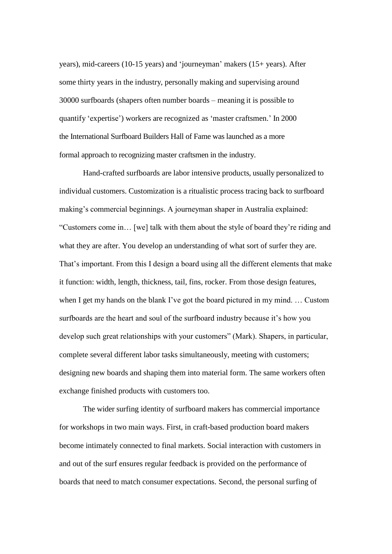years), mid-careers (10-15 years) and 'journeyman' makers (15+ years). After some thirty years in the industry, personally making and supervising around 30000 surfboards (shapers often number boards – meaning it is possible to quantify 'expertise') workers are recognized as 'master craftsmen.' In 2000 the International Surfboard Builders Hall of Fame was launched as a more formal approach to recognizing master craftsmen in the industry.

Hand-crafted surfboards are labor intensive products, usually personalized to individual customers. Customization is a ritualistic process tracing back to surfboard making's commercial beginnings. A journeyman shaper in Australia explained: "Customers come in… [we] talk with them about the style of board they're riding and what they are after. You develop an understanding of what sort of surfer they are. That's important. From this I design a board using all the different elements that make it function: width, length, thickness, tail, fins, rocker. From those design features, when I get my hands on the blank I've got the board pictured in my mind. … Custom surfboards are the heart and soul of the surfboard industry because it's how you develop such great relationships with your customers" (Mark). Shapers, in particular, complete several different labor tasks simultaneously, meeting with customers; designing new boards and shaping them into material form. The same workers often exchange finished products with customers too.

The wider surfing identity of surfboard makers has commercial importance for workshops in two main ways. First, in craft-based production board makers become intimately connected to final markets. Social interaction with customers in and out of the surf ensures regular feedback is provided on the performance of boards that need to match consumer expectations. Second, the personal surfing of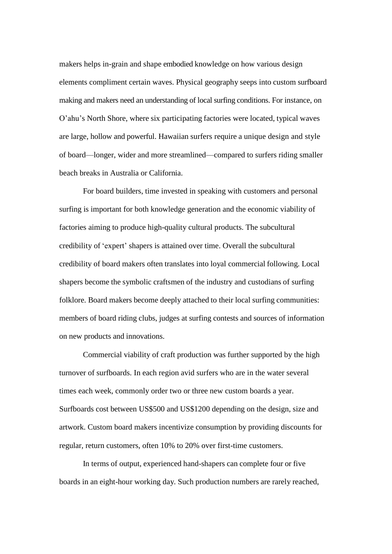makers helps in-grain and shape embodied knowledge on how various design elements compliment certain waves. Physical geography seeps into custom surfboard making and makers need an understanding of local surfing conditions. For instance, on O'ahu's North Shore, where six participating factories were located, typical waves are large, hollow and powerful. Hawaiian surfers require a unique design and style of board—longer, wider and more streamlined—compared to surfers riding smaller beach breaks in Australia or California.

For board builders, time invested in speaking with customers and personal surfing is important for both knowledge generation and the economic viability of factories aiming to produce high-quality cultural products. The subcultural credibility of 'expert' shapers is attained over time. Overall the subcultural credibility of board makers often translates into loyal commercial following. Local shapers become the symbolic craftsmen of the industry and custodians of surfing folklore. Board makers become deeply attached to their local surfing communities: members of board riding clubs, judges at surfing contests and sources of information on new products and innovations.

Commercial viability of craft production was further supported by the high turnover of surfboards. In each region avid surfers who are in the water several times each week, commonly order two or three new custom boards a year. Surfboards cost between US\$500 and US\$1200 depending on the design, size and artwork. Custom board makers incentivize consumption by providing discounts for regular, return customers, often 10% to 20% over first-time customers.

In terms of output, experienced hand-shapers can complete four or five boards in an eight-hour working day. Such production numbers are rarely reached,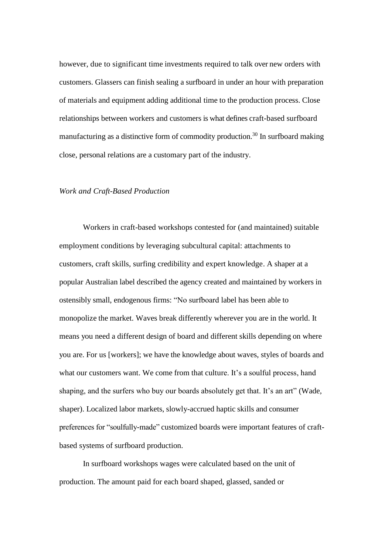however, due to significant time investments required to talk over new orders with customers. Glassers can finish sealing a surfboard in under an hour with preparation of materials and equipment adding additional time to the production process. Close relationships between workers and customers is what defines craft-based surfboard manufacturing as a distinctive form of commodity production.<sup>30</sup> In surfboard making close, personal relations are a customary part of the industry.

#### *Work and Craft-Based Production*

Workers in craft-based workshops contested for (and maintained) suitable employment conditions by leveraging subcultural capital: attachments to customers, craft skills, surfing credibility and expert knowledge. A shaper at a popular Australian label described the agency created and maintained by workers in ostensibly small, endogenous firms: "No surfboard label has been able to monopolize the market. Waves break differently wherever you are in the world. It means you need a different design of board and different skills depending on where you are. For us [workers]; we have the knowledge about waves, styles of boards and what our customers want. We come from that culture. It's a soulful process, hand shaping, and the surfers who buy our boards absolutely get that. It's an art" (Wade, shaper). Localized labor markets, slowly-accrued haptic skills and consumer preferences for "soulfully-made" customized boards were important features of craftbased systems of surfboard production.

In surfboard workshops wages were calculated based on the unit of production. The amount paid for each board shaped, glassed, sanded or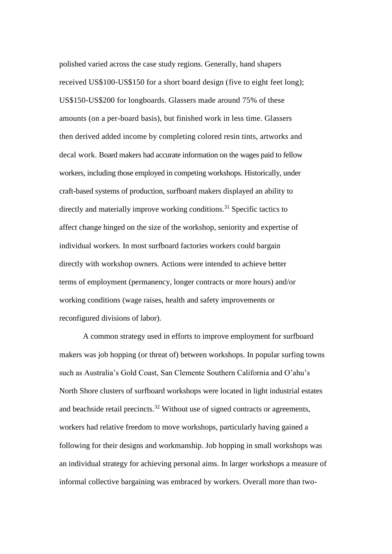polished varied across the case study regions. Generally, hand shapers received US\$100-US\$150 for a short board design (five to eight feet long); US\$150-US\$200 for longboards. Glassers made around 75% of these amounts (on a per-board basis), but finished work in less time. Glassers then derived added income by completing colored resin tints, artworks and decal work. Board makers had accurate information on the wages paid to fellow workers, including those employed in competing workshops. Historically, under craft-based systems of production, surfboard makers displayed an ability to directly and materially improve working conditions.<sup>31</sup> Specific tactics to affect change hinged on the size of the workshop, seniority and expertise of individual workers. In most surfboard factories workers could bargain directly with workshop owners. Actions were intended to achieve better terms of employment (permanency, longer contracts or more hours) and/or working conditions (wage raises, health and safety improvements or reconfigured divisions of labor).

A common strategy used in efforts to improve employment for surfboard makers was job hopping (or threat of) between workshops. In popular surfing towns such as Australia's Gold Coast, San Clemente Southern California and O'ahu's North Shore clusters of surfboard workshops were located in light industrial estates and beachside retail precincts.<sup>32</sup> Without use of signed contracts or agreements, workers had relative freedom to move workshops, particularly having gained a following for their designs and workmanship. Job hopping in small workshops was an individual strategy for achieving personal aims. In larger workshops a measure of informal collective bargaining was embraced by workers. Overall more than two-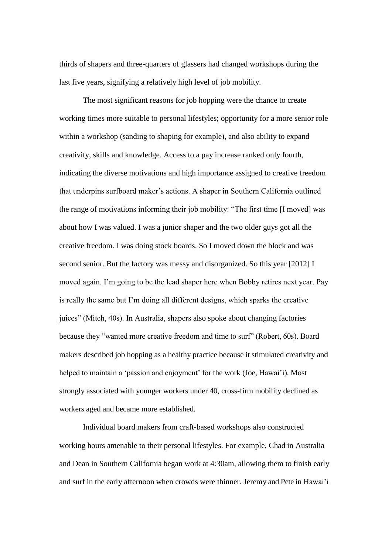thirds of shapers and three-quarters of glassers had changed workshops during the last five years, signifying a relatively high level of job mobility.

The most significant reasons for job hopping were the chance to create working times more suitable to personal lifestyles; opportunity for a more senior role within a workshop (sanding to shaping for example), and also ability to expand creativity, skills and knowledge. Access to a pay increase ranked only fourth, indicating the diverse motivations and high importance assigned to creative freedom that underpins surfboard maker's actions. A shaper in Southern California outlined the range of motivations informing their job mobility: "The first time [I moved] was about how I was valued. I was a junior shaper and the two older guys got all the creative freedom. I was doing stock boards. So I moved down the block and was second senior. But the factory was messy and disorganized. So this year [2012] I moved again. I'm going to be the lead shaper here when Bobby retires next year. Pay is really the same but I'm doing all different designs, which sparks the creative juices" (Mitch, 40s). In Australia, shapers also spoke about changing factories because they "wanted more creative freedom and time to surf" (Robert, 60s). Board makers described job hopping as a healthy practice because it stimulated creativity and helped to maintain a 'passion and enjoyment' for the work (Joe, Hawai'i). Most strongly associated with younger workers under 40, cross-firm mobility declined as workers aged and became more established.

Individual board makers from craft-based workshops also constructed working hours amenable to their personal lifestyles. For example, Chad in Australia and Dean in Southern California began work at 4:30am, allowing them to finish early and surf in the early afternoon when crowds were thinner. Jeremy and Pete in Hawai'i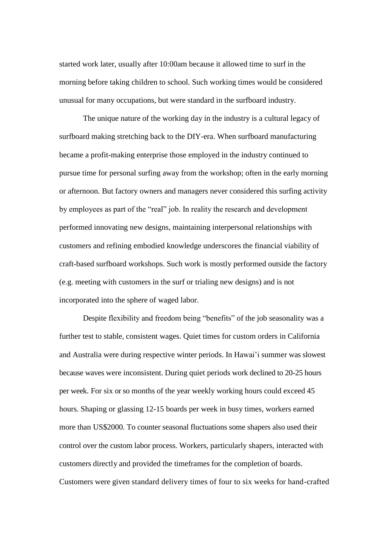started work later, usually after 10:00am because it allowed time to surf in the morning before taking children to school. Such working times would be considered unusual for many occupations, but were standard in the surfboard industry.

The unique nature of the working day in the industry is a cultural legacy of surfboard making stretching back to the DIY-era. When surfboard manufacturing became a profit-making enterprise those employed in the industry continued to pursue time for personal surfing away from the workshop; often in the early morning or afternoon. But factory owners and managers never considered this surfing activity by employees as part of the "real" job. In reality the research and development performed innovating new designs, maintaining interpersonal relationships with customers and refining embodied knowledge underscores the financial viability of craft-based surfboard workshops. Such work is mostly performed outside the factory (e.g. meeting with customers in the surf or trialing new designs) and is not incorporated into the sphere of waged labor.

Despite flexibility and freedom being "benefits" of the job seasonality was a further test to stable, consistent wages. Quiet times for custom orders in California and Australia were during respective winter periods. In Hawai'i summer was slowest because waves were inconsistent. During quiet periods work declined to 20-25 hours per week. For six or so months of the year weekly working hours could exceed 45 hours. Shaping or glassing 12-15 boards per week in busy times, workers earned more than US\$2000. To counter seasonal fluctuations some shapers also used their control over the custom labor process. Workers, particularly shapers, interacted with customers directly and provided the timeframes for the completion of boards. Customers were given standard delivery times of four to six weeks for hand-crafted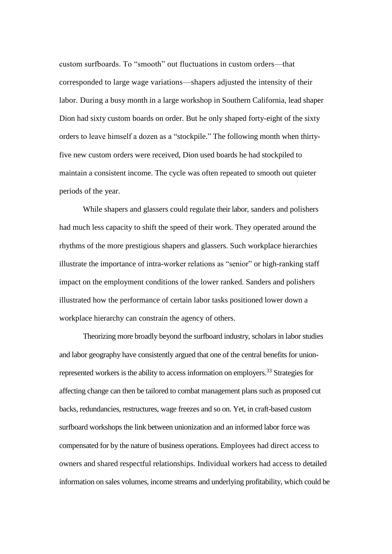custom surfboards. To "smooth" out fluctuations in custom orders—that corresponded to large wage variations—shapers adjusted the intensity of their labor. During a busy month in a large workshop in Southern California, lead shaper Dion had sixty custom boards on order. But he only shaped forty-eight of the sixty orders to leave himself a dozen as a "stockpile." The following month when thirtyfive new custom orders were received, Dion used boards he had stockpiled to maintain a consistent income. The cycle was often repeated to smooth out quieter periods of the year.

While shapers and glassers could regulate their labor, sanders and polishers had much less capacity to shift the speed of their work. They operated around the rhythms of the more prestigious shapers and glassers. Such workplace hierarchies illustrate the importance of intra-worker relations as "senior" or high-ranking staff impact on the employment conditions of the lower ranked. Sanders and polishers illustrated how the performance of certain labor tasks positioned lower down a workplace hierarchy can constrain the agency of others.

Theorizing more broadly beyond the surfboard industry, scholars in labor studies and labor geography have consistently argued that one of the central benefits for unionrepresented workers is the ability to access information on employers.<sup>33</sup> Strategies for affecting change can then be tailored to combat management plans such as proposed cut backs, redundancies, restructures, wage freezes and so on. Yet, in craft-based custom surfboard workshops the link between unionization and an informed labor force was compensated for by the nature of business operations. Employees had direct access to owners and shared respectful relationships. Individual workers had access to detailed information on sales volumes, income streams and underlying profitability, which could be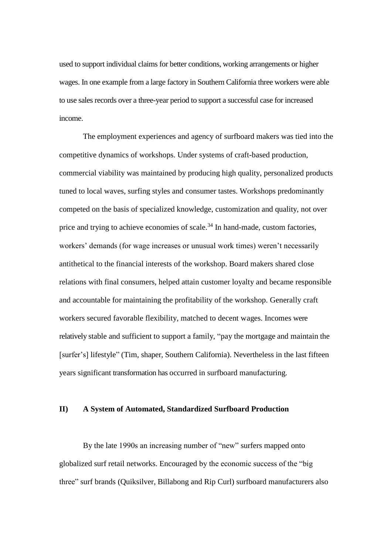used to support individual claims for better conditions, working arrangements or higher wages. In one example from a large factory in Southern California three workers were able to use sales records over a three-year period to support a successful case for increased income.

The employment experiences and agency of surfboard makers was tied into the competitive dynamics of workshops. Under systems of craft-based production, commercial viability was maintained by producing high quality, personalized products tuned to local waves, surfing styles and consumer tastes. Workshops predominantly competed on the basis of specialized knowledge, customization and quality, not over price and trying to achieve economies of scale.<sup>34</sup> In hand-made, custom factories, workers' demands (for wage increases or unusual work times) weren't necessarily antithetical to the financial interests of the workshop. Board makers shared close relations with final consumers, helped attain customer loyalty and became responsible and accountable for maintaining the profitability of the workshop. Generally craft workers secured favorable flexibility, matched to decent wages. Incomes were relatively stable and sufficient to support a family, "pay the mortgage and maintain the [surfer's] lifestyle" (Tim, shaper, Southern California). Nevertheless in the last fifteen years significant transformation has occurred in surfboard manufacturing.

#### **II) A System of Automated, Standardized Surfboard Production**

By the late 1990s an increasing number of "new" surfers mapped onto globalized surf retail networks. Encouraged by the economic success of the "big three" surf brands (Quiksilver, Billabong and Rip Curl) surfboard manufacturers also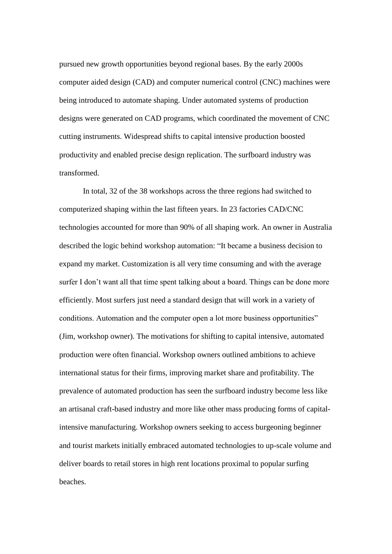pursued new growth opportunities beyond regional bases. By the early 2000s computer aided design (CAD) and computer numerical control (CNC) machines were being introduced to automate shaping. Under automated systems of production designs were generated on CAD programs, which coordinated the movement of CNC cutting instruments. Widespread shifts to capital intensive production boosted productivity and enabled precise design replication. The surfboard industry was transformed.

In total, 32 of the 38 workshops across the three regions had switched to computerized shaping within the last fifteen years. In 23 factories CAD/CNC technologies accounted for more than 90% of all shaping work. An owner in Australia described the logic behind workshop automation: "It became a business decision to expand my market. Customization is all very time consuming and with the average surfer I don't want all that time spent talking about a board. Things can be done more efficiently. Most surfers just need a standard design that will work in a variety of conditions. Automation and the computer open a lot more business opportunities" (Jim, workshop owner). The motivations for shifting to capital intensive, automated production were often financial. Workshop owners outlined ambitions to achieve international status for their firms, improving market share and profitability. The prevalence of automated production has seen the surfboard industry become less like an artisanal craft-based industry and more like other mass producing forms of capitalintensive manufacturing. Workshop owners seeking to access burgeoning beginner and tourist markets initially embraced automated technologies to up-scale volume and deliver boards to retail stores in high rent locations proximal to popular surfing beaches.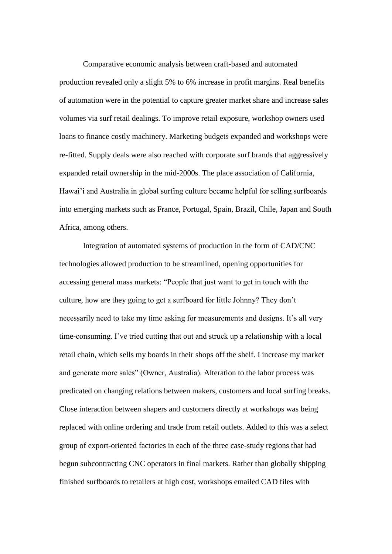Comparative economic analysis between craft-based and automated production revealed only a slight 5% to 6% increase in profit margins. Real benefits of automation were in the potential to capture greater market share and increase sales volumes via surf retail dealings. To improve retail exposure, workshop owners used loans to finance costly machinery. Marketing budgets expanded and workshops were re-fitted. Supply deals were also reached with corporate surf brands that aggressively expanded retail ownership in the mid-2000s. The place association of California, Hawai'i and Australia in global surfing culture became helpful for selling surfboards into emerging markets such as France, Portugal, Spain, Brazil, Chile, Japan and South Africa, among others.

Integration of automated systems of production in the form of CAD/CNC technologies allowed production to be streamlined, opening opportunities for accessing general mass markets: "People that just want to get in touch with the culture, how are they going to get a surfboard for little Johnny? They don't necessarily need to take my time asking for measurements and designs. It's all very time-consuming. I've tried cutting that out and struck up a relationship with a local retail chain, which sells my boards in their shops off the shelf. I increase my market and generate more sales" (Owner, Australia). Alteration to the labor process was predicated on changing relations between makers, customers and local surfing breaks. Close interaction between shapers and customers directly at workshops was being replaced with online ordering and trade from retail outlets. Added to this was a select group of export-oriented factories in each of the three case-study regions that had begun subcontracting CNC operators in final markets. Rather than globally shipping finished surfboards to retailers at high cost, workshops emailed CAD files with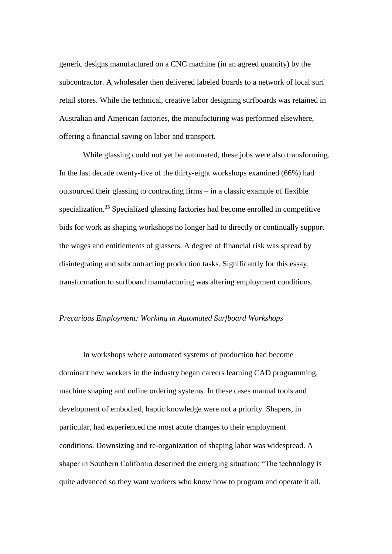generic designs manufactured on a CNC machine (in an agreed quantity) by the subcontractor. A wholesaler then delivered labeled boards to a network of local surf retail stores. While the technical, creative labor designing surfboards was retained in Australian and American factories, the manufacturing was performed elsewhere, offering a financial saving on labor and transport.

While glassing could not yet be automated, these jobs were also transforming. In the last decade twenty-five of the thirty-eight workshops examined (66%) had outsourced their glassing to contracting firms – in a classic example of flexible specialization.<sup>35</sup> Specialized glassing factories had become enrolled in competitive bids for work as shaping workshops no longer had to directly or continually support the wages and entitlements of glassers. A degree of financial risk was spread by disintegrating and subcontracting production tasks. Significantly for this essay, transformation to surfboard manufacturing was altering employment conditions.

#### *Precarious Employment: Working in Automated Surfboard Workshops*

In workshops where automated systems of production had become dominant new workers in the industry began careers learning CAD programming, machine shaping and online ordering systems. In these cases manual tools and development of embodied, haptic knowledge were not a priority. Shapers, in particular, had experienced the most acute changes to their employment conditions. Downsizing and re-organization of shaping labor was widespread. A shaper in Southern California described the emerging situation: "The technology is quite advanced so they want workers who know how to program and operate it all.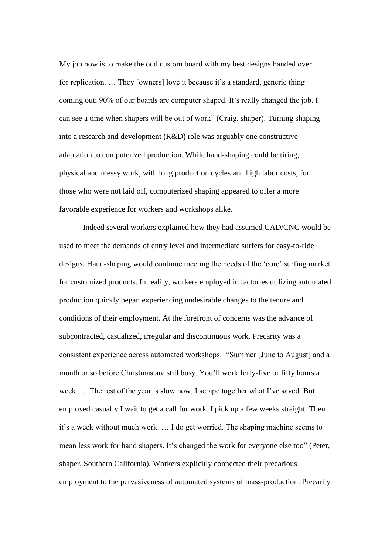My job now is to make the odd custom board with my best designs handed over for replication. … They [owners] love it because it's a standard, generic thing coming out; 90% of our boards are computer shaped. It's really changed the job. I can see a time when shapers will be out of work" (Craig, shaper). Turning shaping into a research and development (R&D) role was arguably one constructive adaptation to computerized production. While hand-shaping could be tiring, physical and messy work, with long production cycles and high labor costs, for those who were not laid off, computerized shaping appeared to offer a more favorable experience for workers and workshops alike.

Indeed several workers explained how they had assumed CAD/CNC would be used to meet the demands of entry level and intermediate surfers for easy-to-ride designs. Hand-shaping would continue meeting the needs of the 'core' surfing market for customized products. In reality, workers employed in factories utilizing automated production quickly began experiencing undesirable changes to the tenure and conditions of their employment. At the forefront of concerns was the advance of subcontracted, casualized, irregular and discontinuous work. Precarity was a consistent experience across automated workshops: "Summer [June to August] and a month or so before Christmas are still busy. You'll work forty-five or fifty hours a week. … The rest of the year is slow now. I scrape together what I've saved. But employed casually I wait to get a call for work. I pick up a few weeks straight. Then it's a week without much work. … I do get worried. The shaping machine seems to mean less work for hand shapers. It's changed the work for everyone else too" (Peter, shaper, Southern California). Workers explicitly connected their precarious employment to the pervasiveness of automated systems of mass-production. Precarity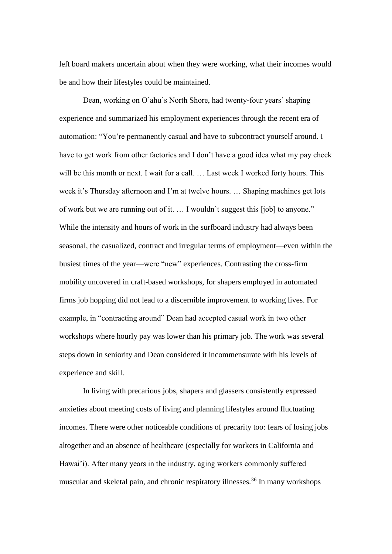left board makers uncertain about when they were working, what their incomes would be and how their lifestyles could be maintained.

Dean, working on O'ahu's North Shore, had twenty-four years' shaping experience and summarized his employment experiences through the recent era of automation: "You're permanently casual and have to subcontract yourself around. I have to get work from other factories and I don't have a good idea what my pay check will be this month or next. I wait for a call. ... Last week I worked forty hours. This week it's Thursday afternoon and I'm at twelve hours. … Shaping machines get lots of work but we are running out of it. … I wouldn't suggest this [job] to anyone." While the intensity and hours of work in the surfboard industry had always been seasonal, the casualized, contract and irregular terms of employment—even within the busiest times of the year—were "new" experiences. Contrasting the cross-firm mobility uncovered in craft-based workshops, for shapers employed in automated firms job hopping did not lead to a discernible improvement to working lives. For example, in "contracting around" Dean had accepted casual work in two other workshops where hourly pay was lower than his primary job. The work was several steps down in seniority and Dean considered it incommensurate with his levels of experience and skill.

In living with precarious jobs, shapers and glassers consistently expressed anxieties about meeting costs of living and planning lifestyles around fluctuating incomes. There were other noticeable conditions of precarity too: fears of losing jobs altogether and an absence of healthcare (especially for workers in California and Hawai'i). After many years in the industry, aging workers commonly suffered muscular and skeletal pain, and chronic respiratory illnesses.<sup>36</sup> In many workshops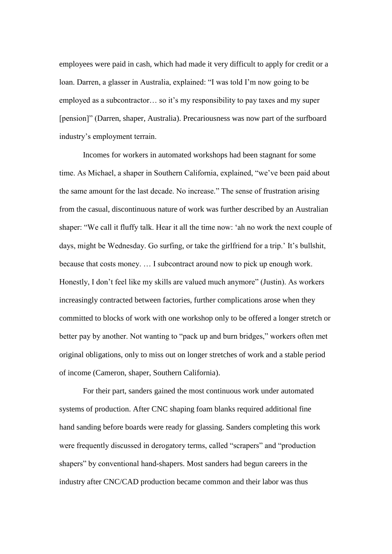employees were paid in cash, which had made it very difficult to apply for credit or a loan. Darren, a glasser in Australia, explained: "I was told I'm now going to be employed as a subcontractor… so it's my responsibility to pay taxes and my super [pension]" (Darren, shaper, Australia). Precariousness was now part of the surfboard industry's employment terrain.

Incomes for workers in automated workshops had been stagnant for some time. As Michael, a shaper in Southern California, explained, "we've been paid about the same amount for the last decade. No increase." The sense of frustration arising from the casual, discontinuous nature of work was further described by an Australian shaper: "We call it fluffy talk. Hear it all the time now: 'ah no work the next couple of days, might be Wednesday. Go surfing, or take the girlfriend for a trip.' It's bullshit, because that costs money. … I subcontract around now to pick up enough work. Honestly, I don't feel like my skills are valued much anymore" (Justin). As workers increasingly contracted between factories, further complications arose when they committed to blocks of work with one workshop only to be offered a longer stretch or better pay by another. Not wanting to "pack up and burn bridges," workers often met original obligations, only to miss out on longer stretches of work and a stable period of income (Cameron, shaper, Southern California).

For their part, sanders gained the most continuous work under automated systems of production. After CNC shaping foam blanks required additional fine hand sanding before boards were ready for glassing. Sanders completing this work were frequently discussed in derogatory terms, called "scrapers" and "production shapers" by conventional hand-shapers. Most sanders had begun careers in the industry after CNC/CAD production became common and their labor was thus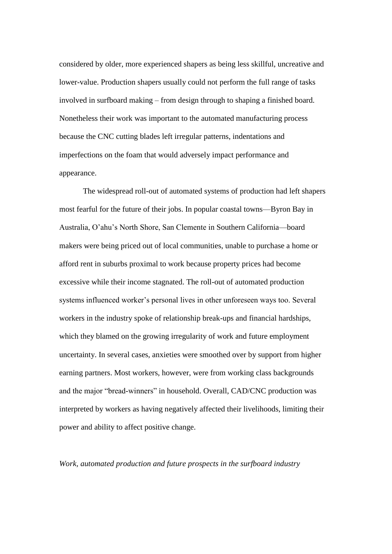considered by older, more experienced shapers as being less skillful, uncreative and lower-value. Production shapers usually could not perform the full range of tasks involved in surfboard making – from design through to shaping a finished board. Nonetheless their work was important to the automated manufacturing process because the CNC cutting blades left irregular patterns, indentations and imperfections on the foam that would adversely impact performance and appearance.

The widespread roll-out of automated systems of production had left shapers most fearful for the future of their jobs. In popular coastal towns—Byron Bay in Australia, O'ahu's North Shore, San Clemente in Southern California—board makers were being priced out of local communities, unable to purchase a home or afford rent in suburbs proximal to work because property prices had become excessive while their income stagnated. The roll-out of automated production systems influenced worker's personal lives in other unforeseen ways too. Several workers in the industry spoke of relationship break-ups and financial hardships, which they blamed on the growing irregularity of work and future employment uncertainty. In several cases, anxieties were smoothed over by support from higher earning partners. Most workers, however, were from working class backgrounds and the major "bread-winners" in household. Overall, CAD/CNC production was interpreted by workers as having negatively affected their livelihoods, limiting their power and ability to affect positive change.

#### *Work, automated production and future prospects in the surfboard industry*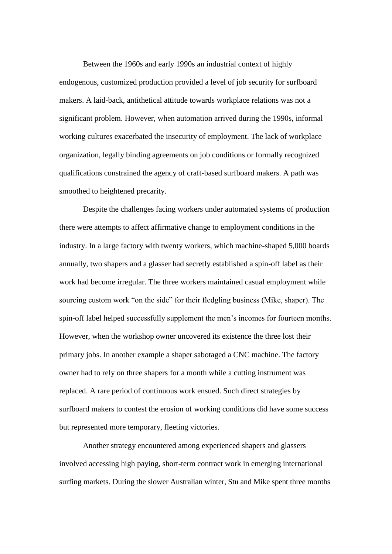Between the 1960s and early 1990s an industrial context of highly endogenous, customized production provided a level of job security for surfboard makers. A laid-back, antithetical attitude towards workplace relations was not a significant problem. However, when automation arrived during the 1990s, informal working cultures exacerbated the insecurity of employment. The lack of workplace organization, legally binding agreements on job conditions or formally recognized qualifications constrained the agency of craft-based surfboard makers. A path was smoothed to heightened precarity.

Despite the challenges facing workers under automated systems of production there were attempts to affect affirmative change to employment conditions in the industry. In a large factory with twenty workers, which machine-shaped 5,000 boards annually, two shapers and a glasser had secretly established a spin-off label as their work had become irregular. The three workers maintained casual employment while sourcing custom work "on the side" for their fledgling business (Mike, shaper). The spin-off label helped successfully supplement the men's incomes for fourteen months. However, when the workshop owner uncovered its existence the three lost their primary jobs. In another example a shaper sabotaged a CNC machine. The factory owner had to rely on three shapers for a month while a cutting instrument was replaced. A rare period of continuous work ensued. Such direct strategies by surfboard makers to contest the erosion of working conditions did have some success but represented more temporary, fleeting victories.

Another strategy encountered among experienced shapers and glassers involved accessing high paying, short-term contract work in emerging international surfing markets. During the slower Australian winter, Stu and Mike spent three months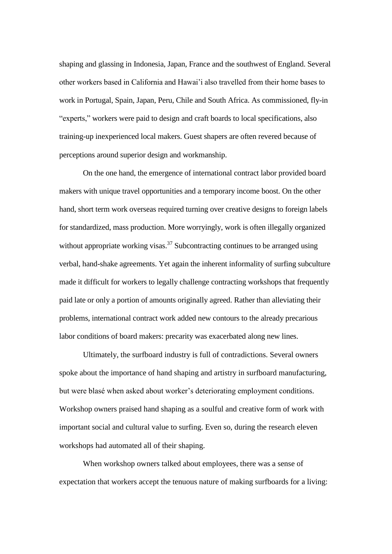shaping and glassing in Indonesia, Japan, France and the southwest of England. Several other workers based in California and Hawai'i also travelled from their home bases to work in Portugal, Spain, Japan, Peru, Chile and South Africa. As commissioned, fly-in "experts," workers were paid to design and craft boards to local specifications, also training-up inexperienced local makers. Guest shapers are often revered because of perceptions around superior design and workmanship.

On the one hand, the emergence of international contract labor provided board makers with unique travel opportunities and a temporary income boost. On the other hand, short term work overseas required turning over creative designs to foreign labels for standardized, mass production. More worryingly, work is often illegally organized without appropriate working visas.<sup>37</sup> Subcontracting continues to be arranged using verbal, hand-shake agreements. Yet again the inherent informality of surfing subculture made it difficult for workers to legally challenge contracting workshops that frequently paid late or only a portion of amounts originally agreed. Rather than alleviating their problems, international contract work added new contours to the already precarious labor conditions of board makers: precarity was exacerbated along new lines.

Ultimately, the surfboard industry is full of contradictions. Several owners spoke about the importance of hand shaping and artistry in surfboard manufacturing, but were blasé when asked about worker's deteriorating employment conditions. Workshop owners praised hand shaping as a soulful and creative form of work with important social and cultural value to surfing. Even so, during the research eleven workshops had automated all of their shaping.

When workshop owners talked about employees, there was a sense of expectation that workers accept the tenuous nature of making surfboards for a living: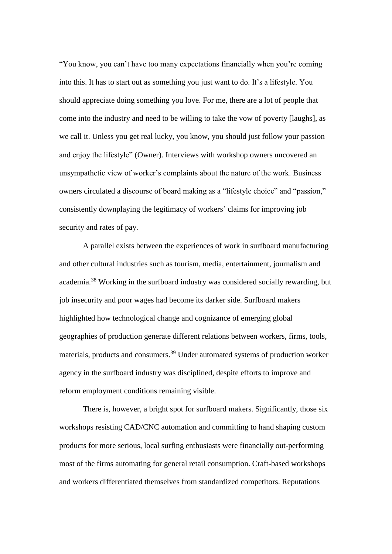"You know, you can't have too many expectations financially when you're coming into this. It has to start out as something you just want to do. It's a lifestyle. You should appreciate doing something you love. For me, there are a lot of people that come into the industry and need to be willing to take the vow of poverty [laughs], as we call it. Unless you get real lucky, you know, you should just follow your passion and enjoy the lifestyle" (Owner). Interviews with workshop owners uncovered an unsympathetic view of worker's complaints about the nature of the work. Business owners circulated a discourse of board making as a "lifestyle choice" and "passion," consistently downplaying the legitimacy of workers' claims for improving job security and rates of pay.

A parallel exists between the experiences of work in surfboard manufacturing and other cultural industries such as tourism, media, entertainment, journalism and academia.<sup>38</sup> Working in the surfboard industry was considered socially rewarding, but job insecurity and poor wages had become its darker side. Surfboard makers highlighted how technological change and cognizance of emerging global geographies of production generate different relations between workers, firms, tools, materials, products and consumers.<sup>39</sup> Under automated systems of production worker agency in the surfboard industry was disciplined, despite efforts to improve and reform employment conditions remaining visible.

There is, however, a bright spot for surfboard makers. Significantly, those six workshops resisting CAD/CNC automation and committing to hand shaping custom products for more serious, local surfing enthusiasts were financially out-performing most of the firms automating for general retail consumption. Craft-based workshops and workers differentiated themselves from standardized competitors. Reputations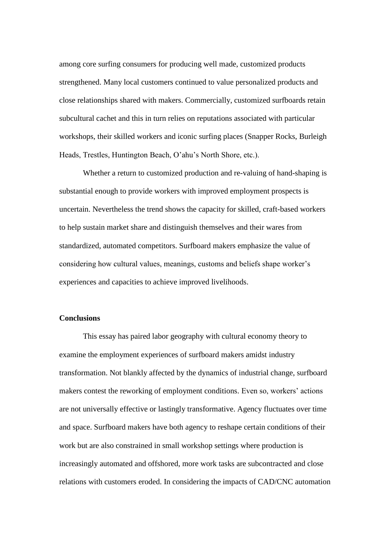among core surfing consumers for producing well made, customized products strengthened. Many local customers continued to value personalized products and close relationships shared with makers. Commercially, customized surfboards retain subcultural cachet and this in turn relies on reputations associated with particular workshops, their skilled workers and iconic surfing places (Snapper Rocks, Burleigh Heads, Trestles, Huntington Beach, O'ahu's North Shore, etc.).

Whether a return to customized production and re-valuing of hand-shaping is substantial enough to provide workers with improved employment prospects is uncertain. Nevertheless the trend shows the capacity for skilled, craft-based workers to help sustain market share and distinguish themselves and their wares from standardized, automated competitors. Surfboard makers emphasize the value of considering how cultural values, meanings, customs and beliefs shape worker's experiences and capacities to achieve improved livelihoods.

#### **Conclusions**

This essay has paired labor geography with cultural economy theory to examine the employment experiences of surfboard makers amidst industry transformation. Not blankly affected by the dynamics of industrial change, surfboard makers contest the reworking of employment conditions. Even so, workers' actions are not universally effective or lastingly transformative. Agency fluctuates over time and space. Surfboard makers have both agency to reshape certain conditions of their work but are also constrained in small workshop settings where production is increasingly automated and offshored, more work tasks are subcontracted and close relations with customers eroded. In considering the impacts of CAD/CNC automation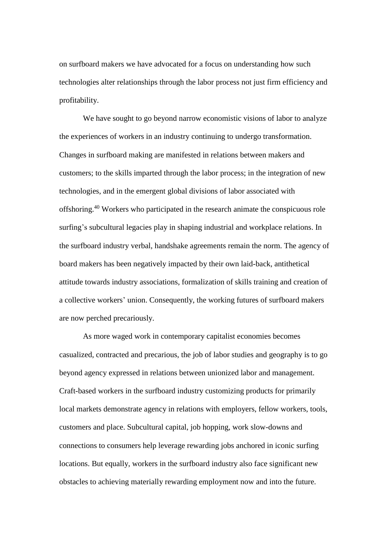on surfboard makers we have advocated for a focus on understanding how such technologies alter relationships through the labor process not just firm efficiency and profitability.

We have sought to go beyond narrow economistic visions of labor to analyze the experiences of workers in an industry continuing to undergo transformation. Changes in surfboard making are manifested in relations between makers and customers; to the skills imparted through the labor process; in the integration of new technologies, and in the emergent global divisions of labor associated with offshoring.<sup>40</sup> Workers who participated in the research animate the conspicuous role surfing's subcultural legacies play in shaping industrial and workplace relations. In the surfboard industry verbal, handshake agreements remain the norm. The agency of board makers has been negatively impacted by their own laid-back, antithetical attitude towards industry associations, formalization of skills training and creation of a collective workers' union. Consequently, the working futures of surfboard makers are now perched precariously.

As more waged work in contemporary capitalist economies becomes casualized, contracted and precarious, the job of labor studies and geography is to go beyond agency expressed in relations between unionized labor and management. Craft-based workers in the surfboard industry customizing products for primarily local markets demonstrate agency in relations with employers, fellow workers, tools, customers and place. Subcultural capital, job hopping, work slow-downs and connections to consumers help leverage rewarding jobs anchored in iconic surfing locations. But equally, workers in the surfboard industry also face significant new obstacles to achieving materially rewarding employment now and into the future.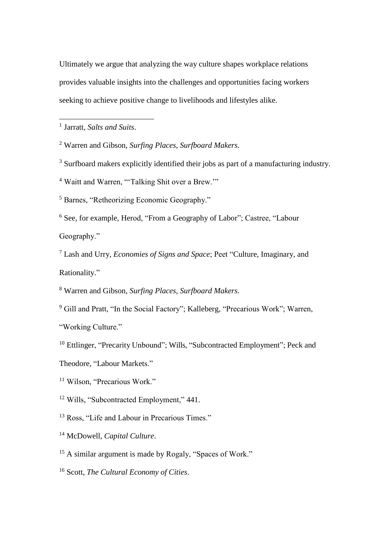Ultimately we argue that analyzing the way culture shapes workplace relations provides valuable insights into the challenges and opportunities facing workers seeking to achieve positive change to livelihoods and lifestyles alike.

1 Jarratt, *Salts and Suits*.

1

<sup>2</sup> Warren and Gibson, *Surfing Places, Surfboard Makers*.

<sup>3</sup> Surfboard makers explicitly identified their jobs as part of a manufacturing industry.

<sup>4</sup> Waitt and Warren, "Talking Shit over a Brew."

<sup>5</sup> Barnes, "Retheorizing Economic Geography."

<sup>6</sup> See, for example, Herod, "From a Geography of Labor"; Castree, "Labour Geography."

<sup>7</sup> Lash and Urry, *Economies of Signs and Space*; Peet "Culture, Imaginary, and Rationality."

<sup>8</sup> Warren and Gibson, *Surfing Places, Surfboard Makers*.

<sup>9</sup> Gill and Pratt, "In the Social Factory"; Kalleberg, "Precarious Work"; Warren,

"Working Culture."

- <sup>10</sup> Ettlinger, "Precarity Unbound"; Wills, "Subcontracted Employment"; Peck and
- Theodore, "Labour Markets."

<sup>11</sup> Wilson, "Precarious Work."

<sup>12</sup> Wills, "Subcontracted Employment," 441.

<sup>13</sup> Ross, "Life and Labour in Precarious Times."

<sup>14</sup> McDowell, *Capital Culture*.

<sup>15</sup> A similar argument is made by Rogaly, "Spaces of Work."

<sup>16</sup> Scott, *The Cultural Economy of Cities*.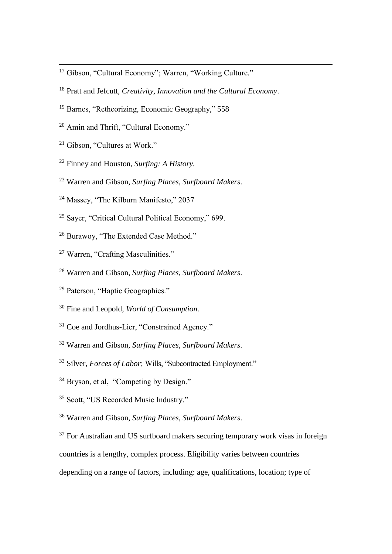- <sup>17</sup> Gibson, "Cultural Economy"; Warren, "Working Culture*.*"
- <sup>18</sup> Pratt and Jefcutt, *Creativity, Innovation and the Cultural Economy*.
- <sup>19</sup> Barnes, "Retheorizing, Economic Geography," 558
- <sup>20</sup> Amin and Thrift, "Cultural Economy."
- <sup>21</sup> Gibson, "Cultures at Work."

**.** 

- <sup>22</sup> Finney and Houston, *Surfing: A History.*
- <sup>23</sup> Warren and Gibson, *Surfing Places, Surfboard Makers*.
- <sup>24</sup> Massey, "The Kilburn Manifesto," 2037
- <sup>25</sup> Sayer, "Critical Cultural Political Economy," 699.
- <sup>26</sup> Burawoy, "The Extended Case Method."
- <sup>27</sup> Warren, "Crafting Masculinities."
- <sup>28</sup> Warren and Gibson, *Surfing Places, Surfboard Makers*.
- <sup>29</sup> Paterson, "Haptic Geographies."
- <sup>30</sup> Fine and Leopold, *World of Consumption*.
- <sup>31</sup> Coe and Jordhus-Lier, "Constrained Agency."
- <sup>32</sup> Warren and Gibson, *Surfing Places, Surfboard Makers*.
- <sup>33</sup> Silver, *Forces of Labor*; Wills, "Subcontracted Employment."
- <sup>34</sup> Bryson, et al. "Competing by Design."
- <sup>35</sup> Scott, "US Recorded Music Industry."
- <sup>36</sup> Warren and Gibson, *Surfing Places, Surfboard Makers*.
- $37$  For Australian and US surfboard makers securing temporary work visas in foreign

countries is a lengthy, complex process. Eligibility varies between countries

depending on a range of factors, including: age, qualifications, location; type of